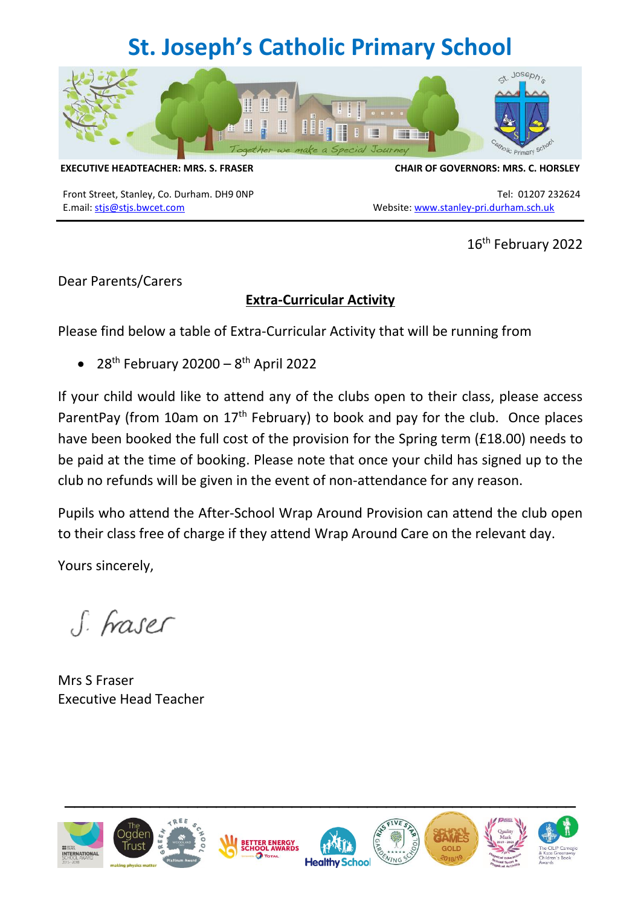## **St. Joseph's Catholic Primary School**



**EXECUTIVE HEADTEACHER: MRS. S. FRASER CHAIR OF GOVERNORS: MRS. C. HORSLEY**

E.mail: [stjs@stjs.bwcet.com](mailto:stjs@stjs.bwcet.com) Website: [www.stanley-pri.durham.sch.uk](http://www.stanley-pri.durham.sch.uk/)

Front Street, Stanley, Co. Durham. DH9 ONP Tel: 01207 232624

16th February 2022

Dear Parents/Carers

## **Extra-Curricular Activity**

Please find below a table of Extra-Curricular Activity that will be running from

 $\bullet$  28<sup>th</sup> February 20200 – 8<sup>th</sup> April 2022

If your child would like to attend any of the clubs open to their class, please access ParentPay (from 10am on 17th February) to book and pay for the club.Once places have been booked the full cost of the provision for the Spring term (£18.00) needs to be paid at the time of booking. Please note that once your child has signed up to the club no refunds will be given in the event of non-attendance for any reason.

Pupils who attend the After-School Wrap Around Provision can attend the club open to their class free of charge if they attend Wrap Around Care on the relevant day.

Yours sincerely,

S. Fraser

Mrs S Fraser Executive Head Teacher